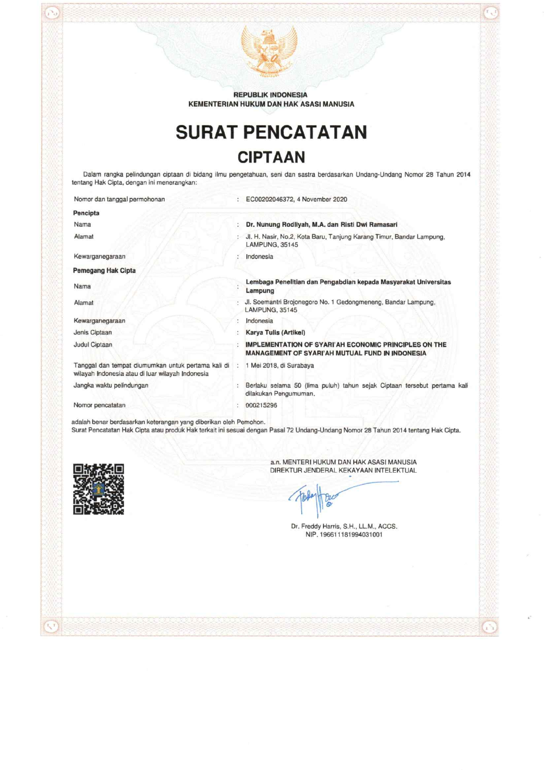

**REPUBLIK INDONESIA** KEMENTERIAN HUKUM DAN HAK ASASI MANUSIA

# **SURAT PENCATATAN CIPTAAN**

Dalam rangka pelindungan ciptaan di bidang ilmu pengetahuan, seni dan sastra berdasarkan Undang-Undang Nomor 28 Tahun 2014 tentang Hak Cipta, dengan ini menerangkan:

| Nomor dan tanggal permohonan                                                                             | EC00202046372, 4 November 2020                                                                                                     |
|----------------------------------------------------------------------------------------------------------|------------------------------------------------------------------------------------------------------------------------------------|
| Pencipta                                                                                                 |                                                                                                                                    |
| Nama                                                                                                     | : Dr. Nunung Rodliyah, M.A. dan Risti Dwi Ramasari                                                                                 |
| Alamat                                                                                                   | Jl. H. Nasir, No.2, Kota Baru, Tanjung Karang Timur, Bandar Lampung,<br>LAMPUNG, 35145                                             |
| Kewarganegaraan                                                                                          | Indonesia                                                                                                                          |
| Pemegang Hak Cipta                                                                                       |                                                                                                                                    |
| Nama                                                                                                     | Lembaga Penelitian dan Pengabdian kepada Masyarakat Universitas<br>Lampung                                                         |
| Alamat                                                                                                   | Jl. Soemantri Brojonegoro No. 1 Gedongmeneng, Bandar Lampung,<br>LAMPUNG, 35145                                                    |
| Kewarganegaraan                                                                                          | Indonesia                                                                                                                          |
| Jenis Ciptaan                                                                                            | Karya Tulis (Artikel)                                                                                                              |
| Judul Ciptaan                                                                                            | <b>IMPLEMENTATION OF SYARI'AH ECONOMIC PRINCIPLES ON THE</b><br><b>MANAGEMENT OF SYARI'AH MUTUAL FUND IN INDONESIA</b>             |
| Tanggal dan tempat diumumkan untuk pertama kali di :<br>wilayah Indonesia atau di luar wilayah Indonesia | 1 Mei 2018, di Surabava                                                                                                            |
| Jangka waktu pelindungan                                                                                 | Berlaku selama 50 (lima puluh) tahun sejak Ciptaan tersebut pertama kali<br>dilakukan Pengumuman.                                  |
| Nomor pencatatan                                                                                         | 000215296                                                                                                                          |
| adalah benar berdasarkan keterangan yang diberikan oleh Pemohon.                                         | Surat Pencatatan Hak Cipta atau produk Hak terkait ini sesuai dengan Pasal 72 Undang-Undang Nomor 28 Tahun 2014 tentang Hak Cipta. |



a.n. MENTERI HUKUM DAN HAK ASASI MANUSIA DIREKTUR JENDERAL KEKAYAAN INTELEKTUAL

Dr. Freddy Harris, S.H., LL.M., ACCS. NIP. 196611181994031001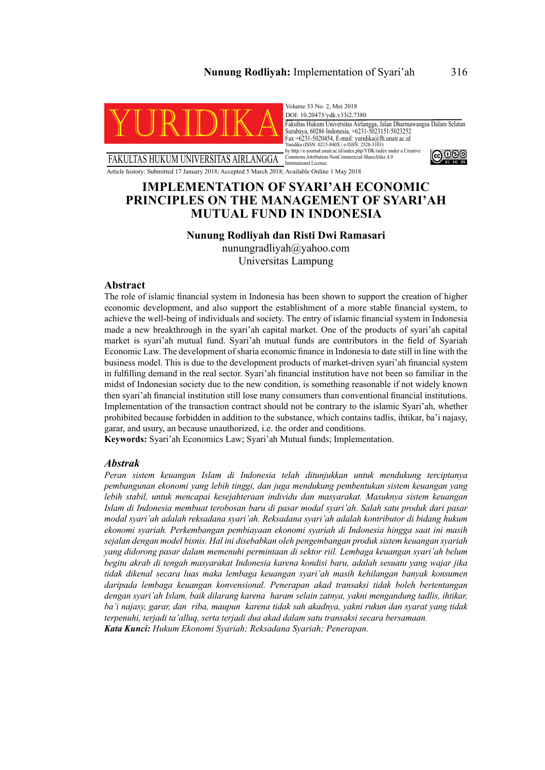### **Nunung Rodliyah:** Implementation of Syari'ah 316



FAKULTAS HUKUM UNIVERSITAS AIRLANGGA

Volume 33 No. 2, Mei 2018 DOI: 10.20473/ydk.v33i2.7380 Fakultas Hukum Universitas Airlangga, Jalan Dharmawangsa Dalam Selatan Surabaya, 60286 Indonesia, +6231-5023151/5023252 Fax +6231-5020454, E-mail: yuridika@fh.unair.ac.id Yuridika (ISSN: 0215-840X | e-ISSN: 2528-3103) by http://e-journal.unair.ac.id/index.php/YDK/index under a Creative Commons Attribution-NonCommercial-ShareAlike 4.0 International License. @ 0®



Article history: Submitted 17 January 2018; Accepted 5 March 2018; Available Online 1 May 2018

## **IMPLEMENTATION OF SYARI'AH ECONOMIC PRINCIPLES ON THE MANAGEMENT OF SYARI'AH MUTUAL FUND IN INDONESIA**

### **Nunung Rodliyah dan Risti Dwi Ramasari**

nunungradliyah@yahoo.com Universitas Lampung

#### **Abstract**

The role of islamic financial system in Indonesia has been shown to support the creation of higher economic development, and also support the establishment of a more stable financial system, to achieve the well-being of individuals and society. The entry of islamic financial system in Indonesia made a new breakthrough in the syari'ah capital market. One of the products of syari'ah capital market is syari'ah mutual fund. Syari'ah mutual funds are contributors in the field of Syariah Economic Law. The development of sharia economic finance in Indonesia to date still in line with the business model. This is due to the development products of market-driven syari'ah financial system in fulfilling demand in the real sector. Syari'ah financial institution have not been so familiar in the midst of Indonesian society due to the new condition, is something reasonable if not widely known then syari'ah financial institution still lose many consumers than conventional financial institutions. Implementation of the transaction contract should not be contrary to the islamic Syari'ah, whether prohibited because forbidden in addition to the substance, which contains tadlis, ihtikar, ba'i najasy, garar, and usury, an because unauthorized, i.e. the order and conditions.

**Keywords:** Syari'ah Economics Law; Syari'ah Mutual funds; Implementation.

### *Abstrak*

*Peran sistem keuangan Islam di Indonesia telah ditunjukkan untuk mendukung terciptanya pembangunan ekonomi yang lebih tinggi, dan juga mendukung pembentukan sistem keuangan yang lebih stabil, untuk mencapai kesejahteraan individu dan masyarakat. Masuknya sistem keuangan Islam di Indonesia membuat terobosan baru di pasar modal syari'ah. Salah satu produk dari pasar modal syari'ah adalah reksadana syari'ah. Reksadana syari'ah adalah kontributor di bidang hukum ekonomi syariah. Perkembangan pembiayaan ekonomi syariah di Indonesia hingga saat ini masih sejalan dengan model bisnis. Hal ini disebabkan oleh pengembangan produk sistem keuangan syariah yang didorong pasar dalam memenuhi permintaan di sektor riil. Lembaga keuangan syari'ah belum begitu akrab di tengah masyarakat Indonesia karena kondisi baru, adalah sesuatu yang wajar jika tidak dikenal secara luas maka lembaga keuangan syari'ah masih kehilangan banyak konsumen daripada lembaga keuangan konvensional. Penerapan akad transaksi tidak boleh bertentangan dengan syari'ah Islam, baik dilarang karena haram selain zatnya, yakni mengandung tadlis, ihtikar, ba'i najasy, garar, dan riba, maupun karena tidak sah akadnya, yakni rukun dan syarat yang tidak terpenuhi, terjadi ta'alluq, serta terjadi dua akad dalam satu transaksi secara bersamaan. Kata Kunci: Hukum Ekonomi Syariah; Reksadana Syariah; Penerapan.*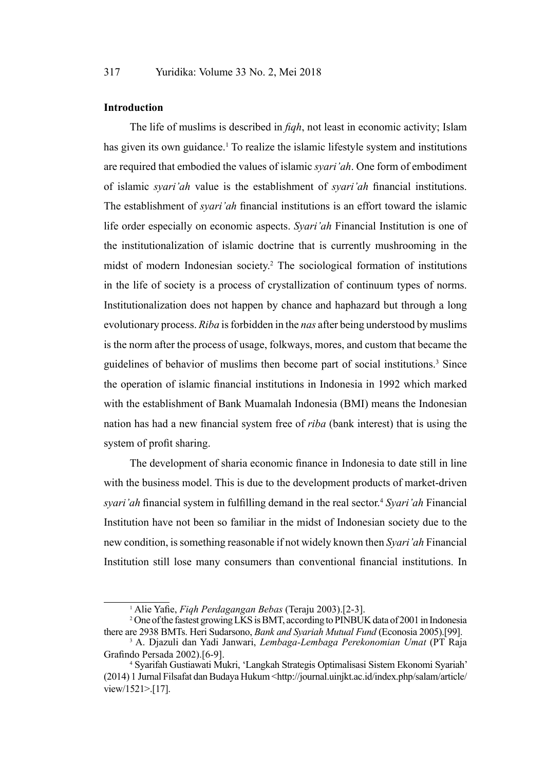### **Introduction**

The life of muslims is described in *fiqh*, not least in economic activity; Islam has given its own guidance.<sup>1</sup> To realize the islamic lifestyle system and institutions are required that embodied the values of islamic *syari'ah*. One form of embodiment of islamic *syari'ah* value is the establishment of *syari'ah* financial institutions. The establishment of *syari'ah* financial institutions is an effort toward the islamic life order especially on economic aspects. *Syari'ah* Financial Institution is one of the institutionalization of islamic doctrine that is currently mushrooming in the midst of modern Indonesian society.2 The sociological formation of institutions in the life of society is a process of crystallization of continuum types of norms. Institutionalization does not happen by chance and haphazard but through a long evolutionary process. *Riba* is forbidden in the *nas* after being understood by muslims is the norm after the process of usage, folkways, mores, and custom that became the guidelines of behavior of muslims then become part of social institutions.<sup>3</sup> Since the operation of islamic financial institutions in Indonesia in 1992 which marked with the establishment of Bank Muamalah Indonesia (BMI) means the Indonesian nation has had a new financial system free of *riba* (bank interest) that is using the system of profit sharing.

The development of sharia economic finance in Indonesia to date still in line with the business model. This is due to the development products of market-driven *syari'ah* financial system in fulfilling demand in the real sector.4 *Syari'ah* Financial Institution have not been so familiar in the midst of Indonesian society due to the new condition, is something reasonable if not widely known then *Syari'ah* Financial Institution still lose many consumers than conventional financial institutions. In

<sup>1</sup> Alie Yafie, *Fiqh Perdagangan Bebas* (Teraju 2003).[2-3].

<sup>2</sup> One of the fastest growing LKS is BMT, according to PINBUK data of 2001 in Indonesia there are 2938 BMTs. Heri Sudarsono, *Bank and Syariah Mutual Fund* (Econosia 2005).[99].

<sup>3</sup> A. Djazuli dan Yadi Janwari, *Lembaga-Lembaga Perekonomian Umat* (PT Raja Grafindo Persada 2002).[6-9]. 4

Syarifah Gustiawati Mukri, 'Langkah Strategis Optimalisasi Sistem Ekonomi Syariah' (2014) 1 Jurnal Filsafat dan Budaya Hukum <http://journal.uinjkt.ac.id/index.php/salam/article/ view/1521>.[17].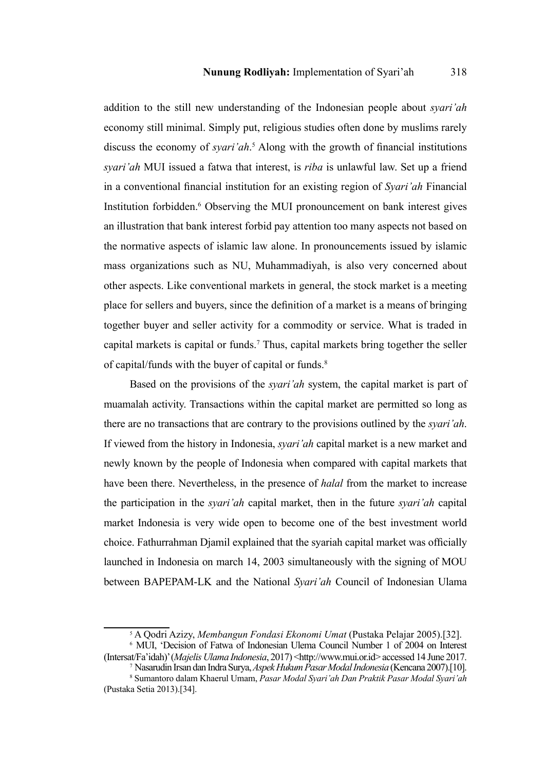addition to the still new understanding of the Indonesian people about *syari'ah* economy still minimal. Simply put, religious studies often done by muslims rarely discuss the economy of *syari'ah*. 5 Along with the growth of financial institutions *syari'ah* MUI issued a fatwa that interest, is *riba* is unlawful law. Set up a friend in a conventional financial institution for an existing region of *Syari'ah* Financial Institution forbidden.<sup>6</sup> Observing the MUI pronouncement on bank interest gives an illustration that bank interest forbid pay attention too many aspects not based on the normative aspects of islamic law alone. In pronouncements issued by islamic mass organizations such as NU, Muhammadiyah, is also very concerned about other aspects. Like conventional markets in general, the stock market is a meeting place for sellers and buyers, since the definition of a market is a means of bringing together buyer and seller activity for a commodity or service. What is traded in capital markets is capital or funds.7 Thus, capital markets bring together the seller of capital/funds with the buyer of capital or funds.<sup>8</sup>

Based on the provisions of the *syari'ah* system, the capital market is part of muamalah activity. Transactions within the capital market are permitted so long as there are no transactions that are contrary to the provisions outlined by the *syari'ah*. If viewed from the history in Indonesia, *syari'ah* capital market is a new market and newly known by the people of Indonesia when compared with capital markets that have been there. Nevertheless, in the presence of *halal* from the market to increase the participation in the *syari'ah* capital market, then in the future *syari'ah* capital market Indonesia is very wide open to become one of the best investment world choice. Fathurrahman Djamil explained that the syariah capital market was officially launched in Indonesia on march 14, 2003 simultaneously with the signing of MOU between BAPEPAM-LK and the National *Syari'ah* Council of Indonesian Ulama

<sup>5</sup> A Qodri Azizy, *Membangun Fondasi Ekonomi Umat* (Pustaka Pelajar 2005).[32]. 6 MUI, 'Decision of Fatwa of Indonesian Ulema Council Number 1 of 2004 on Interest

<sup>(</sup>Intersat/Fa'idah)' (*Majelis Ulama Indonesia*, 2017) <http://www.mui.or.id> accessed 14 June 2017. 7 Nasarudin Irsan dan Indra Surya, *Aspek Hukum Pasar Modal Indonesia* (Kencana 2007).[10].

<sup>8</sup> Sumantoro dalam Khaerul Umam, *Pasar Modal Syari'ah Dan Praktik Pasar Modal Syari'ah* (Pustaka Setia 2013).[34].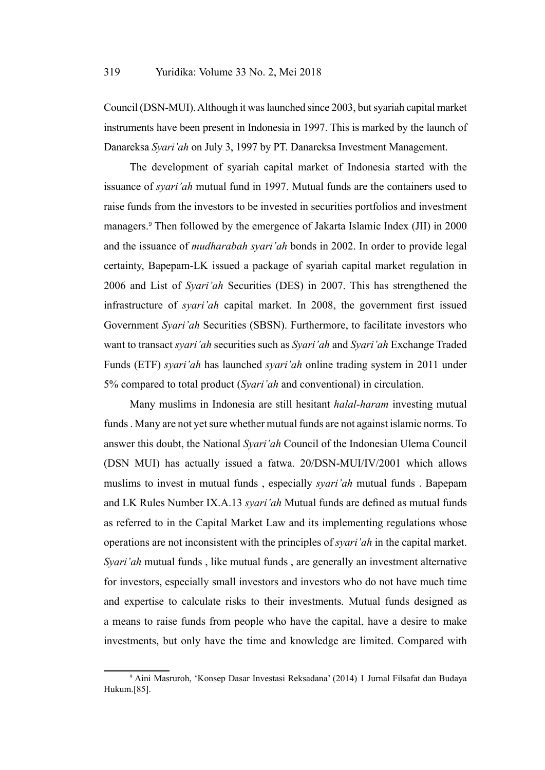Council (DSN-MUI). Although it was launched since 2003, but syariah capital market instruments have been present in Indonesia in 1997. This is marked by the launch of Danareksa *Syari'ah* on July 3, 1997 by PT. Danareksa Investment Management.

The development of syariah capital market of Indonesia started with the issuance of *syari'ah* mutual fund in 1997. Mutual funds are the containers used to raise funds from the investors to be invested in securities portfolios and investment managers.<sup>9</sup> Then followed by the emergence of Jakarta Islamic Index (JII) in 2000 and the issuance of *mudharabah syari'ah* bonds in 2002. In order to provide legal certainty, Bapepam-LK issued a package of syariah capital market regulation in 2006 and List of *Syari'ah* Securities (DES) in 2007. This has strengthened the infrastructure of *syari'ah* capital market. In 2008, the government first issued Government *Syari'ah* Securities (SBSN). Furthermore, to facilitate investors who want to transact *syari'ah* securities such as *Syari'ah* and *Syari'ah* Exchange Traded Funds (ETF) *syari'ah* has launched *syari'ah* online trading system in 2011 under 5% compared to total product (*Syari'ah* and conventional) in circulation.

Many muslims in Indonesia are still hesitant *halal-haram* investing mutual funds . Many are not yet sure whether mutual funds are not against islamic norms. To answer this doubt, the National *Syari'ah* Council of the Indonesian Ulema Council (DSN MUI) has actually issued a fatwa. 20/DSN-MUI/IV/2001 which allows muslims to invest in mutual funds , especially *syari'ah* mutual funds . Bapepam and LK Rules Number IX.A.13 *syari'ah* Mutual funds are defined as mutual funds as referred to in the Capital Market Law and its implementing regulations whose operations are not inconsistent with the principles of *syari'ah* in the capital market. *Syari'ah* mutual funds , like mutual funds , are generally an investment alternative for investors, especially small investors and investors who do not have much time and expertise to calculate risks to their investments. Mutual funds designed as a means to raise funds from people who have the capital, have a desire to make investments, but only have the time and knowledge are limited. Compared with

<sup>9</sup> Aini Masruroh, 'Konsep Dasar Investasi Reksadana' (2014) 1 Jurnal Filsafat dan Budaya Hukum.[85].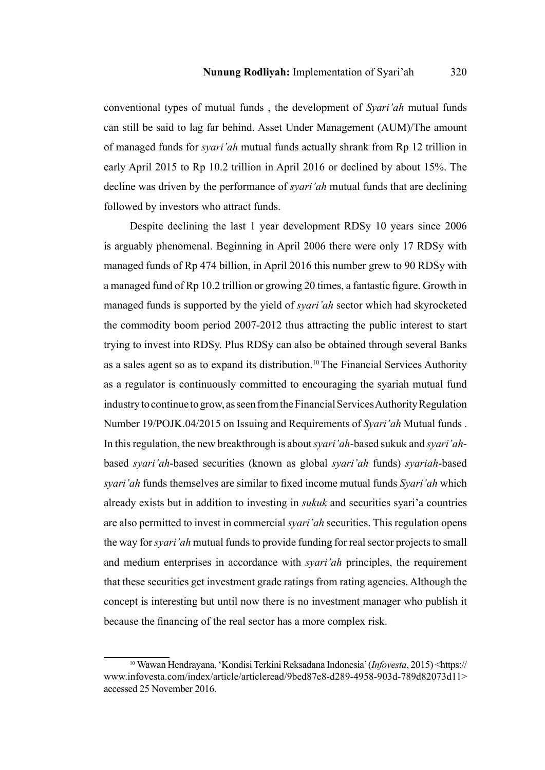conventional types of mutual funds , the development of *Syari'ah* mutual funds can still be said to lag far behind. Asset Under Management (AUM)/The amount of managed funds for *syari'ah* mutual funds actually shrank from Rp 12 trillion in early April 2015 to Rp 10.2 trillion in April 2016 or declined by about 15%. The decline was driven by the performance of *syari'ah* mutual funds that are declining followed by investors who attract funds.

Despite declining the last 1 year development RDSy 10 years since 2006 is arguably phenomenal. Beginning in April 2006 there were only 17 RDSy with managed funds of Rp 474 billion, in April 2016 this number grew to 90 RDSy with a managed fund of Rp 10.2 trillion or growing 20 times, a fantastic figure. Growth in managed funds is supported by the yield of *syari'ah* sector which had skyrocketed the commodity boom period 2007-2012 thus attracting the public interest to start trying to invest into RDSy. Plus RDSy can also be obtained through several Banks as a sales agent so as to expand its distribution.10 The Financial Services Authority as a regulator is continuously committed to encouraging the syariah mutual fund industry to continue to grow, as seen from the Financial Services Authority Regulation Number 19/POJK.04/2015 on Issuing and Requirements of *Syari'ah* Mutual funds . In this regulation, the new breakthrough is about *syari'ah*-based sukuk and *syari'ah*based *syari'ah*-based securities (known as global *syari'ah* funds) *syariah*-based *syari'ah* funds themselves are similar to fixed income mutual funds *Syari'ah* which already exists but in addition to investing in *sukuk* and securities syari'a countries are also permitted to invest in commercial *syari'ah* securities. This regulation opens the way for *syari'ah* mutual funds to provide funding for real sector projects to small and medium enterprises in accordance with *syari'ah* principles, the requirement that these securities get investment grade ratings from rating agencies. Although the concept is interesting but until now there is no investment manager who publish it because the financing of the real sector has a more complex risk.

<sup>10</sup> Wawan Hendrayana, 'Kondisi Terkini Reksadana Indonesia' (*Infovesta*, 2015) <https:// www.infovesta.com/index/article/articleread/9bed87e8-d289-4958-903d-789d82073d11> accessed 25 November 2016.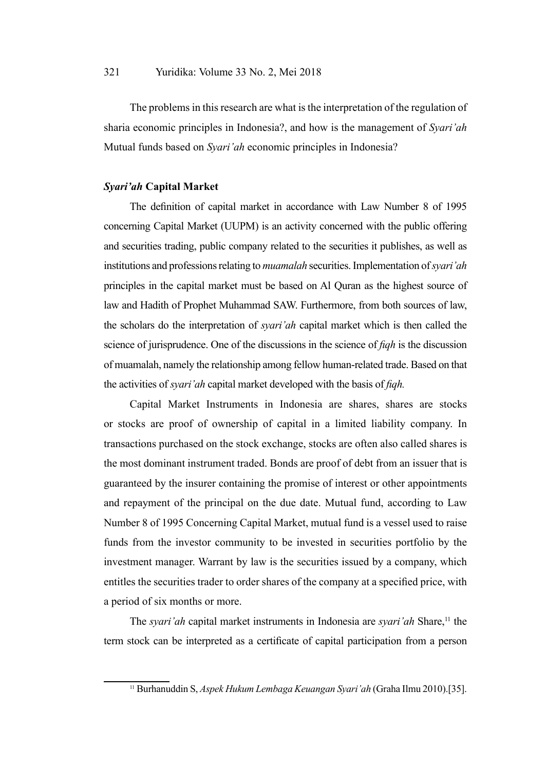The problems in this research are what is the interpretation of the regulation of sharia economic principles in Indonesia?, and how is the management of *Syari'ah* Mutual funds based on *Syari'ah* economic principles in Indonesia?

### *Syari'ah* **Capital Market**

The definition of capital market in accordance with Law Number 8 of 1995 concerning Capital Market (UUPM) is an activity concerned with the public offering and securities trading, public company related to the securities it publishes, as well as institutions and professions relating to *muamalah* securities. Implementation of *syari'ah* principles in the capital market must be based on Al Quran as the highest source of law and Hadith of Prophet Muhammad SAW. Furthermore, from both sources of law, the scholars do the interpretation of *syari'ah* capital market which is then called the science of jurisprudence. One of the discussions in the science of *fiqh* is the discussion of muamalah, namely the relationship among fellow human-related trade. Based on that the activities of *syari'ah* capital market developed with the basis of *fiqh.*

Capital Market Instruments in Indonesia are shares, shares are stocks or stocks are proof of ownership of capital in a limited liability company. In transactions purchased on the stock exchange, stocks are often also called shares is the most dominant instrument traded. Bonds are proof of debt from an issuer that is guaranteed by the insurer containing the promise of interest or other appointments and repayment of the principal on the due date. Mutual fund, according to Law Number 8 of 1995 Concerning Capital Market, mutual fund is a vessel used to raise funds from the investor community to be invested in securities portfolio by the investment manager. Warrant by law is the securities issued by a company, which entitles the securities trader to order shares of the company at a specified price, with a period of six months or more.

The *syari'ah* capital market instruments in Indonesia are *syari'ah* Share,<sup>11</sup> the term stock can be interpreted as a certificate of capital participation from a person

<sup>11</sup> Burhanuddin S, *Aspek Hukum Lembaga Keuangan Syari'ah* (Graha Ilmu 2010).[35].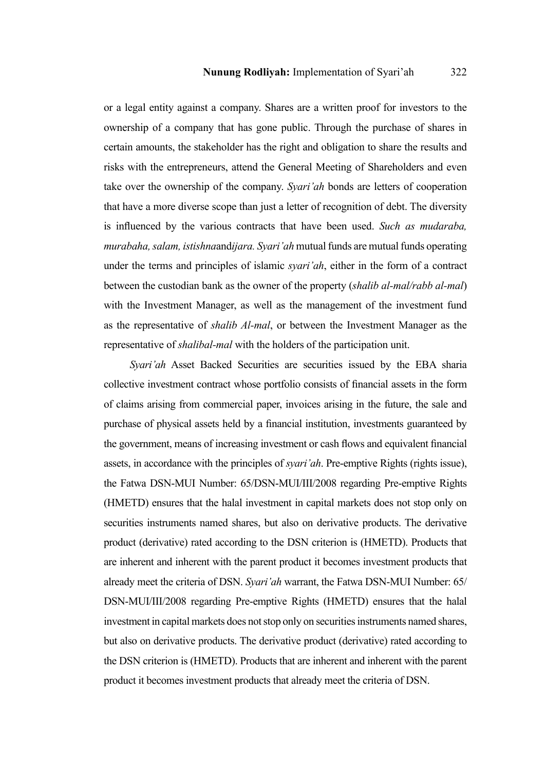or a legal entity against a company. Shares are a written proof for investors to the ownership of a company that has gone public. Through the purchase of shares in certain amounts, the stakeholder has the right and obligation to share the results and risks with the entrepreneurs, attend the General Meeting of Shareholders and even take over the ownership of the company. *Syari'ah* bonds are letters of cooperation that have a more diverse scope than just a letter of recognition of debt. The diversity is influenced by the various contracts that have been used. *Such as mudaraba, murabaha, salam, istishna*and*ijara. Syari'ah* mutual funds are mutual funds operating under the terms and principles of islamic *syari'ah*, either in the form of a contract between the custodian bank as the owner of the property (*shalib al-mal/rabb al-mal*) with the Investment Manager, as well as the management of the investment fund as the representative of *shalib Al-mal*, or between the Investment Manager as the representative of *shalibal-mal* with the holders of the participation unit.

*Syari'ah* Asset Backed Securities are securities issued by the EBA sharia collective investment contract whose portfolio consists of financial assets in the form of claims arising from commercial paper, invoices arising in the future, the sale and purchase of physical assets held by a financial institution, investments guaranteed by the government, means of increasing investment or cash flows and equivalent financial assets, in accordance with the principles of *syari'ah*. Pre-emptive Rights (rights issue), the Fatwa DSN-MUI Number: 65/DSN-MUI/III/2008 regarding Pre-emptive Rights (HMETD) ensures that the halal investment in capital markets does not stop only on securities instruments named shares, but also on derivative products. The derivative product (derivative) rated according to the DSN criterion is (HMETD). Products that are inherent and inherent with the parent product it becomes investment products that already meet the criteria of DSN. *Syari'ah* warrant, the Fatwa DSN-MUI Number: 65/ DSN-MUI/III/2008 regarding Pre-emptive Rights (HMETD) ensures that the halal investment in capital markets does not stop only on securities instruments named shares, but also on derivative products. The derivative product (derivative) rated according to the DSN criterion is (HMETD). Products that are inherent and inherent with the parent product it becomes investment products that already meet the criteria of DSN.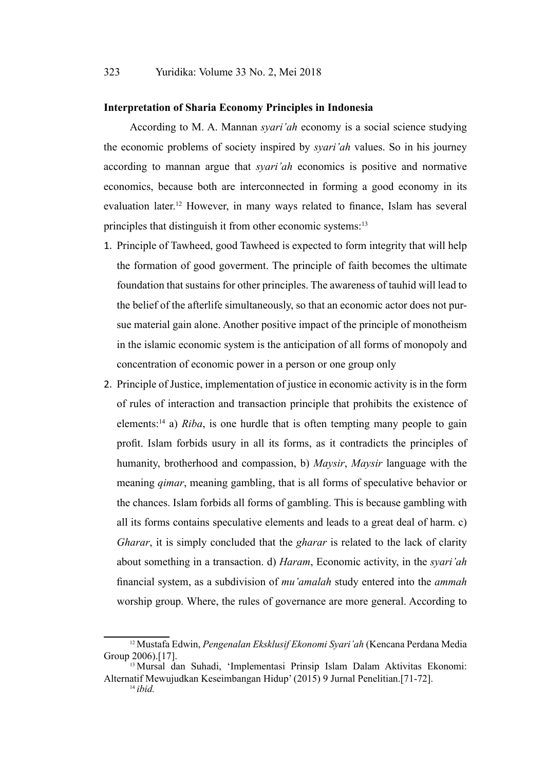### **Interpretation of Sharia Economy Principles in Indonesia**

According to M. A. Mannan *syari'ah* economy is a social science studying the economic problems of society inspired by *syari'ah* values. So in his journey according to mannan argue that *syari'ah* economics is positive and normative economics, because both are interconnected in forming a good economy in its evaluation later.12 However, in many ways related to finance, Islam has several principles that distinguish it from other economic systems:<sup>13</sup>

- 1. Principle of Tawheed, good Tawheed is expected to form integrity that will help the formation of good goverment. The principle of faith becomes the ultimate foundation that sustains for other principles. The awareness of tauhid will lead to the belief of the afterlife simultaneously, so that an economic actor does not pursue material gain alone. Another positive impact of the principle of monotheism in the islamic economic system is the anticipation of all forms of monopoly and concentration of economic power in a person or one group only
- 2. Principle of Justice, implementation of justice in economic activity is in the form of rules of interaction and transaction principle that prohibits the existence of elements:14 a) *Riba*, is one hurdle that is often tempting many people to gain profit. Islam forbids usury in all its forms, as it contradicts the principles of humanity, brotherhood and compassion, b) *Maysir*, *Maysir* language with the meaning *qimar*, meaning gambling, that is all forms of speculative behavior or the chances. Islam forbids all forms of gambling. This is because gambling with all its forms contains speculative elements and leads to a great deal of harm. c) *Gharar*, it is simply concluded that the *gharar* is related to the lack of clarity about something in a transaction. d) *Haram*, Economic activity, in the *syari'ah* financial system, as a subdivision of *mu'amalah* study entered into the *ammah* worship group. Where, the rules of governance are more general. According to

<sup>12</sup> Mustafa Edwin, *Pengenalan Eksklusif Ekonomi Syari'ah* (Kencana Perdana Media Group 2006).[17].

<sup>13</sup> Mursal dan Suhadi, 'Implementasi Prinsip Islam Dalam Aktivitas Ekonomi: Alternatif Mewujudkan Keseimbangan Hidup' (2015) 9 Jurnal Penelitian.[71-72].

<sup>14</sup> *ibid.*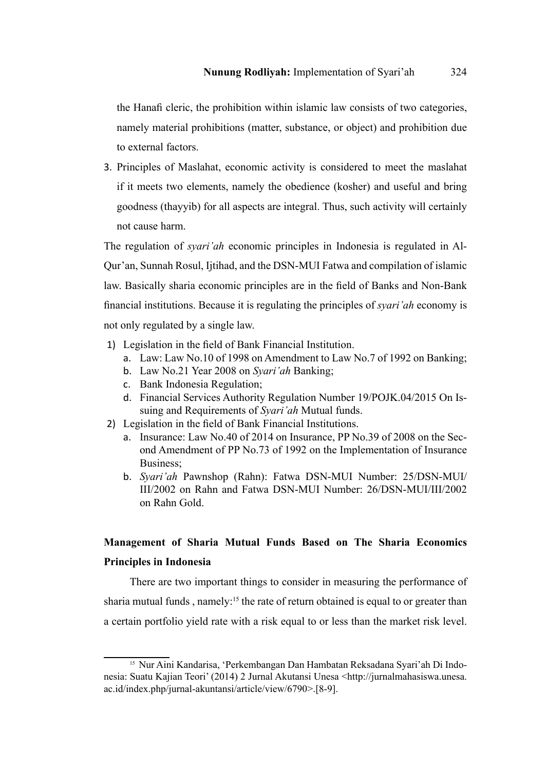the Hanafi cleric, the prohibition within islamic law consists of two categories, namely material prohibitions (matter, substance, or object) and prohibition due to external factors.

3. Principles of Maslahat, economic activity is considered to meet the maslahat if it meets two elements, namely the obedience (kosher) and useful and bring goodness (thayyib) for all aspects are integral. Thus, such activity will certainly not cause harm.

The regulation of *syari'ah* economic principles in Indonesia is regulated in Al-Qur'an, Sunnah Rosul, Ijtihad, and the DSN-MUI Fatwa and compilation of islamic law. Basically sharia economic principles are in the field of Banks and Non-Bank financial institutions. Because it is regulating the principles of *syari'ah* economy is not only regulated by a single law.

- 1) Legislation in the field of Bank Financial Institution.
	- a. Law: Law No.10 of 1998 on Amendment to Law No.7 of 1992 on Banking;
	- b. Law No.21 Year 2008 on *Syari'ah* Banking;
	- c. Bank Indonesia Regulation;
	- d. Financial Services Authority Regulation Number 19/POJK.04/2015 On Issuing and Requirements of *Syari'ah* Mutual funds.
- 2) Legislation in the field of Bank Financial Institutions.
	- a. Insurance: Law No.40 of 2014 on Insurance, PP No.39 of 2008 on the Second Amendment of PP No.73 of 1992 on the Implementation of Insurance Business;
	- b. *Syari'ah* Pawnshop (Rahn): Fatwa DSN-MUI Number: 25/DSN-MUI/ III/2002 on Rahn and Fatwa DSN-MUI Number: 26/DSN-MUI/III/2002 on Rahn Gold.

# **Management of Sharia Mutual Funds Based on The Sharia Economics Principles in Indonesia**

There are two important things to consider in measuring the performance of sharia mutual funds, namely:<sup>15</sup> the rate of return obtained is equal to or greater than a certain portfolio yield rate with a risk equal to or less than the market risk level.

<sup>15</sup> Nur Aini Kandarisa, 'Perkembangan Dan Hambatan Reksadana Syari'ah Di Indonesia: Suatu Kajian Teori' (2014) 2 Jurnal Akutansi Unesa <http://jurnalmahasiswa.unesa. ac.id/index.php/jurnal-akuntansi/article/view/6790>.[8-9].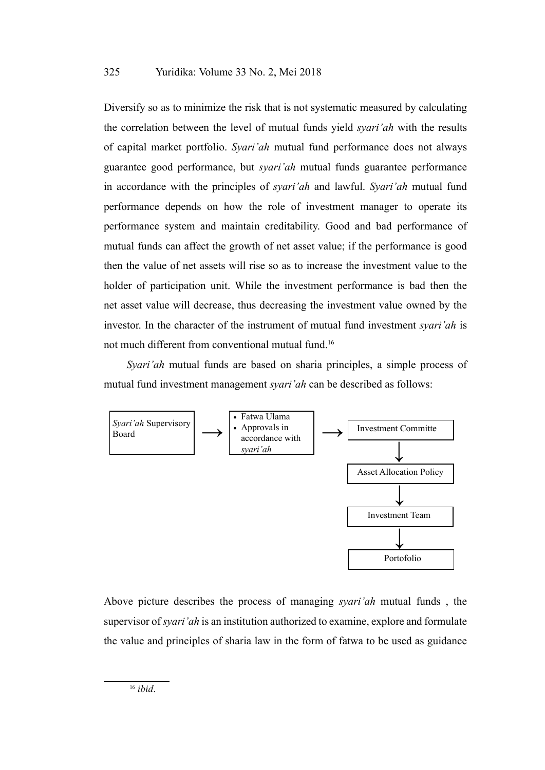Diversify so as to minimize the risk that is not systematic measured by calculating the correlation between the level of mutual funds yield *syari'ah* with the results of capital market portfolio. *Syari'ah* mutual fund performance does not always guarantee good performance, but *syari'ah* mutual funds guarantee performance in accordance with the principles of *syari'ah* and lawful. *Syari'ah* mutual fund performance depends on how the role of investment manager to operate its performance system and maintain creditability. Good and bad performance of mutual funds can affect the growth of net asset value; if the performance is good then the value of net assets will rise so as to increase the investment value to the holder of participation unit. While the investment performance is bad then the net asset value will decrease, thus decreasing the investment value owned by the investor. In the character of the instrument of mutual fund investment *syari'ah* is not much different from conventional mutual fund.16

*Syari'ah* mutual funds are based on sharia principles, a simple process of mutual fund investment management *syari'ah* can be described as follows:



Above picture describes the process of managing *syari'ah* mutual funds , the supervisor of *syari'ah* is an institution authorized to examine, explore and formulate the value and principles of sharia law in the form of fatwa to be used as guidance

<sup>16</sup> *ibid*.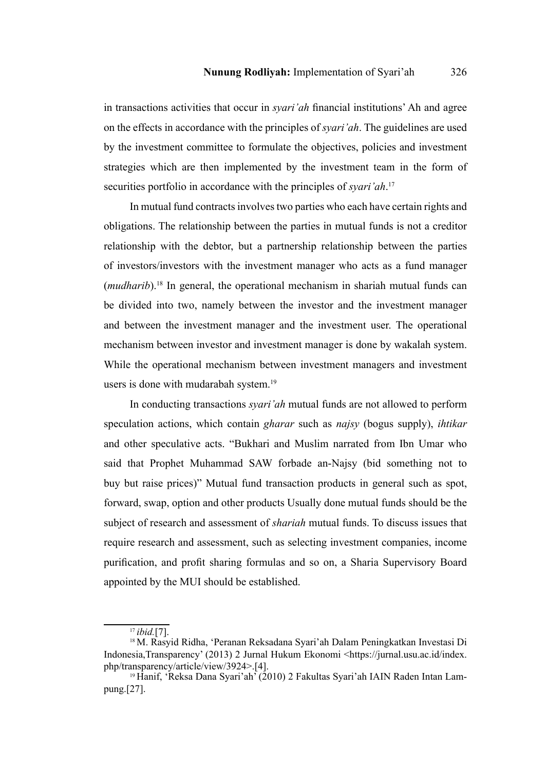in transactions activities that occur in *syari'ah* financial institutions' Ah and agree on the effects in accordance with the principles of *syari'ah*. The guidelines are used by the investment committee to formulate the objectives, policies and investment strategies which are then implemented by the investment team in the form of securities portfolio in accordance with the principles of *syari'ah*. 17

In mutual fund contracts involves two parties who each have certain rights and obligations. The relationship between the parties in mutual funds is not a creditor relationship with the debtor, but a partnership relationship between the parties of investors/investors with the investment manager who acts as a fund manager (*mudharib*).18 In general, the operational mechanism in shariah mutual funds can be divided into two, namely between the investor and the investment manager and between the investment manager and the investment user. The operational mechanism between investor and investment manager is done by wakalah system. While the operational mechanism between investment managers and investment users is done with mudarabah system.<sup>19</sup>

In conducting transactions *syari'ah* mutual funds are not allowed to perform speculation actions, which contain *gharar* such as *najsy* (bogus supply), *ihtikar* and other speculative acts. "Bukhari and Muslim narrated from Ibn Umar who said that Prophet Muhammad SAW forbade an-Najsy (bid something not to buy but raise prices)" Mutual fund transaction products in general such as spot, forward, swap, option and other products Usually done mutual funds should be the subject of research and assessment of *shariah* mutual funds. To discuss issues that require research and assessment, such as selecting investment companies, income purification, and profit sharing formulas and so on, a Sharia Supervisory Board appointed by the MUI should be established.

 $\overline{17}$ *ibid.*[7].

<sup>18</sup> M. Rasyid Ridha, 'Peranan Reksadana Syari'ah Dalam Peningkatkan Investasi Di Indonesia,Transparency' (2013) 2 Jurnal Hukum Ekonomi <https://jurnal.usu.ac.id/index. php/transparency/article/view/3924>.[4].

<sup>19</sup> Hanif, 'Reksa Dana Syari'ah' (2010) 2 Fakultas Syari'ah IAIN Raden Intan Lampung.[27].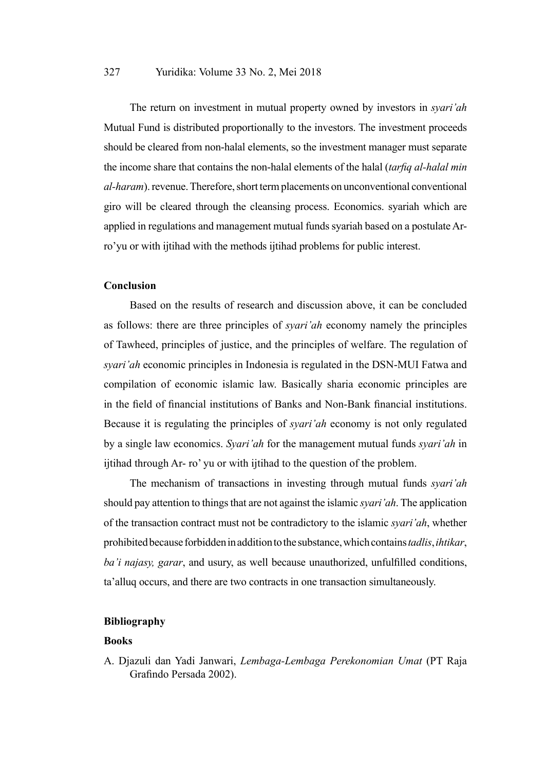### 327 Yuridika: Volume 33 No. 2, Mei 2018

The return on investment in mutual property owned by investors in *syari'ah* Mutual Fund is distributed proportionally to the investors. The investment proceeds should be cleared from non-halal elements, so the investment manager must separate the income share that contains the non-halal elements of the halal (*tarfiq al-halal min al-haram*). revenue. Therefore, short term placements on unconventional conventional giro will be cleared through the cleansing process. Economics. syariah which are applied in regulations and management mutual funds syariah based on a postulate Arro'yu or with ijtihad with the methods ijtihad problems for public interest.

### **Conclusion**

Based on the results of research and discussion above, it can be concluded as follows: there are three principles of *syari'ah* economy namely the principles of Tawheed, principles of justice, and the principles of welfare. The regulation of *syari'ah* economic principles in Indonesia is regulated in the DSN-MUI Fatwa and compilation of economic islamic law. Basically sharia economic principles are in the field of financial institutions of Banks and Non-Bank financial institutions. Because it is regulating the principles of *syari'ah* economy is not only regulated by a single law economics. *Syari'ah* for the management mutual funds *syari'ah* in ijtihad through Ar- ro' yu or with ijtihad to the question of the problem.

The mechanism of transactions in investing through mutual funds *syari'ah* should pay attention to things that are not against the islamic *syari'ah*. The application of the transaction contract must not be contradictory to the islamic *syari'ah*, whether prohibited because forbidden in addition to the substance, which contains *tadlis*, *ihtikar*, *ba'i najasy, garar*, and usury, as well because unauthorized, unfulfilled conditions, ta'alluq occurs, and there are two contracts in one transaction simultaneously.

### **Bibliography**

### **Books**

A. Djazuli dan Yadi Janwari, *Lembaga-Lembaga Perekonomian Umat* (PT Raja Grafindo Persada 2002).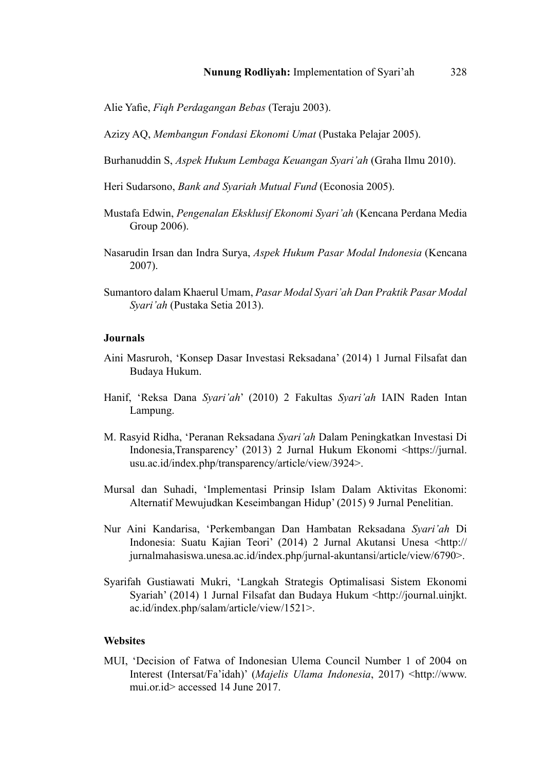Alie Yafie, *Fiqh Perdagangan Bebas* (Teraju 2003).

Azizy AQ, *Membangun Fondasi Ekonomi Umat* (Pustaka Pelajar 2005).

- Burhanuddin S, *Aspek Hukum Lembaga Keuangan Syari'ah* (Graha Ilmu 2010).
- Heri Sudarsono, *Bank and Syariah Mutual Fund* (Econosia 2005).
- Mustafa Edwin, *Pengenalan Eksklusif Ekonomi Syari'ah* (Kencana Perdana Media Group 2006).
- Nasarudin Irsan dan Indra Surya, *Aspek Hukum Pasar Modal Indonesia* (Kencana 2007).
- Sumantoro dalam Khaerul Umam, *Pasar Modal Syari'ah Dan Praktik Pasar Modal Syari'ah* (Pustaka Setia 2013).

### **Journals**

- Aini Masruroh, 'Konsep Dasar Investasi Reksadana' (2014) 1 Jurnal Filsafat dan Budaya Hukum.
- Hanif, 'Reksa Dana *Syari'ah*' (2010) 2 Fakultas *Syari'ah* IAIN Raden Intan Lampung.
- M. Rasyid Ridha, 'Peranan Reksadana *Syari'ah* Dalam Peningkatkan Investasi Di Indonesia,Transparency' (2013) 2 Jurnal Hukum Ekonomi <https://jurnal. usu.ac.id/index.php/transparency/article/view/3924>.
- Mursal dan Suhadi, 'Implementasi Prinsip Islam Dalam Aktivitas Ekonomi: Alternatif Mewujudkan Keseimbangan Hidup' (2015) 9 Jurnal Penelitian.
- Nur Aini Kandarisa, 'Perkembangan Dan Hambatan Reksadana *Syari'ah* Di Indonesia: Suatu Kajian Teori' (2014) 2 Jurnal Akutansi Unesa <http:// jurnalmahasiswa.unesa.ac.id/index.php/jurnal-akuntansi/article/view/6790>.
- Syarifah Gustiawati Mukri, 'Langkah Strategis Optimalisasi Sistem Ekonomi Syariah' (2014) 1 Jurnal Filsafat dan Budaya Hukum <http://journal.uinjkt. ac.id/index.php/salam/article/view/1521>.

### **Websites**

MUI, 'Decision of Fatwa of Indonesian Ulema Council Number 1 of 2004 on Interest (Intersat/Fa'idah)' (*Majelis Ulama Indonesia*, 2017) <http://www. mui.or.id> accessed 14 June 2017.